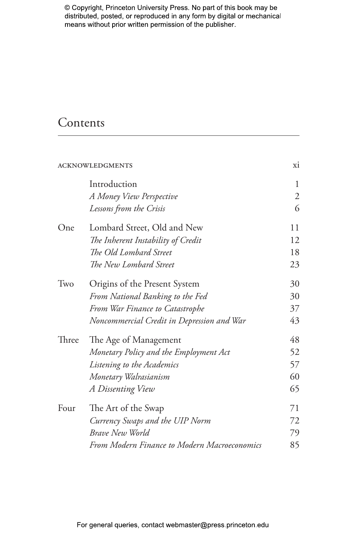# Contents

| <b>ACKNOWLEDGMENTS</b> |                                                                                                                                                    | xi                         |
|------------------------|----------------------------------------------------------------------------------------------------------------------------------------------------|----------------------------|
|                        | Introduction<br>A Money View Perspective<br>Lessons from the Crisis                                                                                | 1<br>$\overline{2}$<br>6   |
| One                    | Lombard Street, Old and New<br>The Inherent Instability of Credit<br>The Old Lombard Street<br>The New Lombard Street                              | 11<br>12<br>18<br>23       |
| Two                    | Origins of the Present System<br>From National Banking to the Fed<br>From War Finance to Catastrophe<br>Noncommercial Credit in Depression and War | 30<br>30<br>37<br>43       |
| Three                  | The Age of Management<br>Monetary Policy and the Employment Act<br>Listening to the Academics<br>Monetary Walrasianism<br>A Dissenting View        | 48<br>52<br>57<br>60<br>65 |
| Four                   | The Art of the Swap<br>Currency Swaps and the UIP Norm<br><b>Brave New World</b><br>From Modern Finance to Modern Macroeconomics                   | 71<br>72<br>79<br>85       |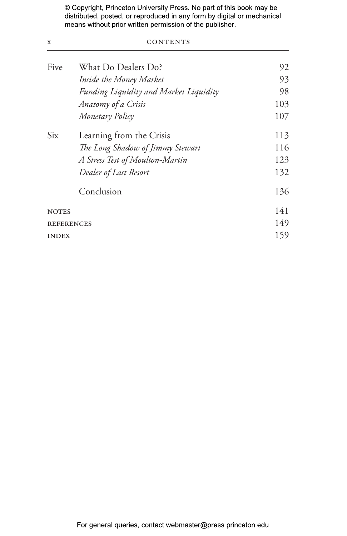### x **CONTENTS**

| Five         | What Do Dealers Do?                    | 92  |
|--------------|----------------------------------------|-----|
|              | Inside the Money Market                | 93  |
|              | Funding Liquidity and Market Liquidity | 98  |
|              | Anatomy of a Crisis                    | 103 |
|              | Monetary Policy                        | 107 |
| Six          | Learning from the Crisis               | 113 |
|              | The Long Shadow of Jimmy Stewart       | 116 |
|              | A Stress Test of Moulton-Martin        | 123 |
|              | Dealer of Last Resort                  | 132 |
|              | Conclusion                             | 136 |
| <b>NOTES</b> |                                        | 141 |
|              | <b>REFERENCES</b>                      | 149 |
| <b>INDEX</b> |                                        | 159 |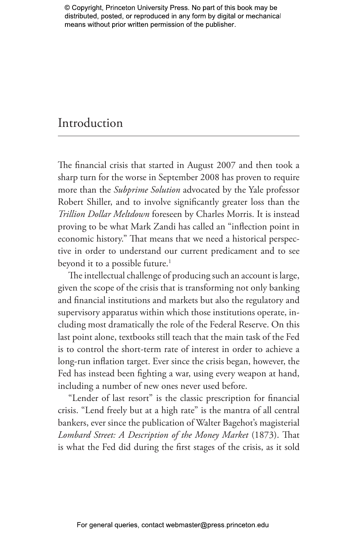# Introduction

The financial crisis that started in August 2007 and then took a sharp turn for the worse in September 2008 has proven to require more than the *Subprime Solution* advocated by the Yale professor Robert Shiller, and to involve significantly greater loss than the *Trillion Dollar Meltdown* foreseen by Charles Morris. It is instead proving to be what Mark Zandi has called an "inflection point in economic history." That means that we need a historical perspective in order to understand our current predicament and to see beyond it to a possible future.<sup>1</sup>

The intellectual challenge of producing such an account is large, given the scope of the crisis that is transforming not only banking and financial institutions and markets but also the regulatory and supervisory apparatus within which those institutions operate, including most dramatically the role of the Federal Reserve. On this last point alone, textbooks still teach that the main task of the Fed is to control the short-term rate of interest in order to achieve a long-run inflation target. Ever since the crisis began, however, the Fed has instead been fighting a war, using every weapon at hand, including a number of new ones never used before.

"Lender of last resort" is the classic prescription for financial crisis. "Lend freely but at a high rate" is the mantra of all central bankers, ever since the publication of Walter Bagehot's magisterial *Lombard Street: A Description of the Money Market* (1873). That is what the Fed did during the first stages of the crisis, as it sold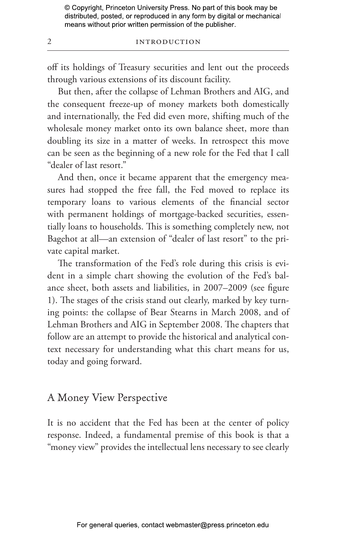### 2 **introduction**

off its holdings of Treasury securities and lent out the proceeds through various extensions of its discount facility.

But then, after the collapse of Lehman Brothers and AIG, and the consequent freeze-up of money markets both domestically and internationally, the Fed did even more, shifting much of the wholesale money market onto its own balance sheet, more than doubling its size in a matter of weeks. In retrospect this move can be seen as the beginning of a new role for the Fed that I call "dealer of last resort."

And then, once it became apparent that the emergency measures had stopped the free fall, the Fed moved to replace its temporary loans to various elements of the financial sector with permanent holdings of mortgage-backed securities, essentially loans to households. This is something completely new, not Bagehot at all—an extension of "dealer of last resort" to the private capital market.

The transformation of the Fed's role during this crisis is evident in a simple chart showing the evolution of the Fed's balance sheet, both assets and liabilities, in 2007–2009 (see figure 1). The stages of the crisis stand out clearly, marked by key turning points: the collapse of Bear Stearns in March 2008, and of Lehman Brothers and AIG in September 2008. The chapters that follow are an attempt to provide the historical and analytical context necessary for understanding what this chart means for us, today and going forward.

## A Money View Perspective

It is no accident that the Fed has been at the center of policy response. Indeed, a fundamental premise of this book is that a "money view" provides the intellectual lens necessary to see clearly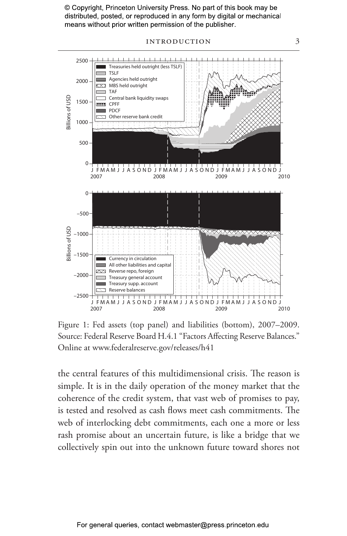

Figure 1: Fed assets (top panel) and liabilities (bottom), 2007–2009. Source: Federal Reserve Board H.4.1 "Factors Affecting Reserve Balances." Online at www.federalreserve.gov/releases/h41

the central features of this multidimensional crisis. The reason is simple. It is in the daily operation of the money market that the coherence of the credit system, that vast web of promises to pay, is tested and resolved as cash flows meet cash commitments. The web of interlocking debt commitments, each one a more or less rash promise about an uncertain future, is like a bridge that we collectively spin out into the unknown future toward shores not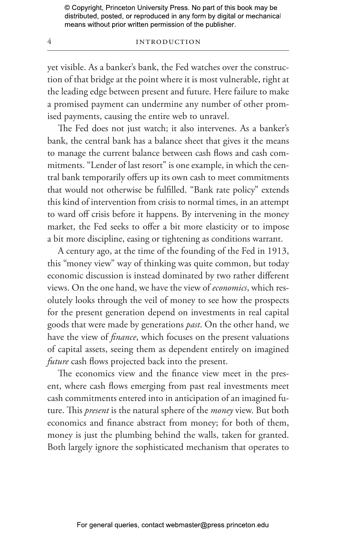### 4 **introduction**

yet visible. As a banker's bank, the Fed watches over the construction of that bridge at the point where it is most vulnerable, right at the leading edge between present and future. Here failure to make a promised payment can undermine any number of other promised payments, causing the entire web to unravel.

The Fed does not just watch; it also intervenes. As a banker's bank, the central bank has a balance sheet that gives it the means to manage the current balance between cash flows and cash commitments. "Lender of last resort" is one example, in which the central bank temporarily offers up its own cash to meet commitments that would not otherwise be fulfilled. "Bank rate policy" extends this kind of intervention from crisis to normal times, in an attempt to ward off crisis before it happens. By intervening in the money market, the Fed seeks to offer a bit more elasticity or to impose a bit more discipline, easing or tightening as conditions warrant.

A century ago, at the time of the founding of the Fed in 1913, this "money view" way of thinking was quite common, but today economic discussion is instead dominated by two rather different views. On the one hand, we have the view of *economics*, which resolutely looks through the veil of money to see how the prospects for the present generation depend on investments in real capital goods that were made by generations *past*. On the other hand, we have the view of *finance*, which focuses on the present valuations of capital assets, seeing them as dependent entirely on imagined *future* cash flows projected back into the present.

The economics view and the finance view meet in the present, where cash flows emerging from past real investments meet cash commitments entered into in anticipation of an imagined future. This *present* is the natural sphere of the *money* view. But both economics and finance abstract from money; for both of them, money is just the plumbing behind the walls, taken for granted. Both largely ignore the sophisticated mechanism that operates to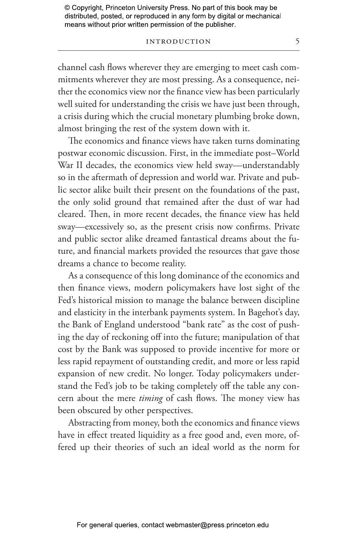### introduction 5

channel cash flows wherever they are emerging to meet cash commitments wherever they are most pressing. As a consequence, neither the economics view nor the finance view has been particularly well suited for understanding the crisis we have just been through, a crisis during which the crucial monetary plumbing broke down, almost bringing the rest of the system down with it.

The economics and finance views have taken turns dominating postwar economic discussion. First, in the immediate post–World War II decades, the economics view held sway—understandably so in the aftermath of depression and world war. Private and public sector alike built their present on the foundations of the past, the only solid ground that remained after the dust of war had cleared. Then, in more recent decades, the finance view has held sway—excessively so, as the present crisis now confirms. Private and public sector alike dreamed fantastical dreams about the future, and financial markets provided the resources that gave those dreams a chance to become reality.

As a consequence of this long dominance of the economics and then finance views, modern policymakers have lost sight of the Fed's historical mission to manage the balance between discipline and elasticity in the interbank payments system. In Bagehot's day, the Bank of England understood "bank rate" as the cost of pushing the day of reckoning off into the future; manipulation of that cost by the Bank was supposed to provide incentive for more or less rapid repayment of outstanding credit, and more or less rapid expansion of new credit. No longer. Today policymakers understand the Fed's job to be taking completely off the table any concern about the mere *timing* of cash flows. The money view has been obscured by other perspectives.

Abstracting from money, both the economics and finance views have in effect treated liquidity as a free good and, even more, offered up their theories of such an ideal world as the norm for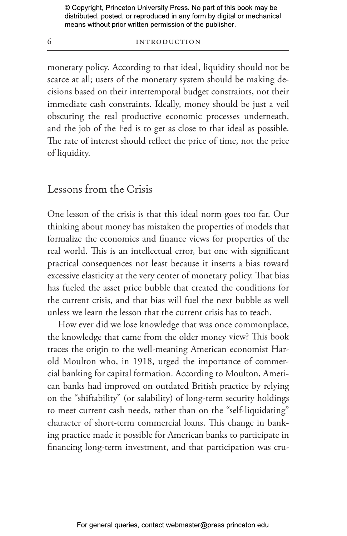### 6 introduction

monetary policy. According to that ideal, liquidity should not be scarce at all; users of the monetary system should be making decisions based on their intertemporal budget constraints, not their immediate cash constraints. Ideally, money should be just a veil obscuring the real productive economic processes underneath, and the job of the Fed is to get as close to that ideal as possible. The rate of interest should reflect the price of time, not the price of liquidity.

## Lessons from the Crisis

One lesson of the crisis is that this ideal norm goes too far. Our thinking about money has mistaken the properties of models that formalize the economics and finance views for properties of the real world. This is an intellectual error, but one with significant practical consequences not least because it inserts a bias toward excessive elasticity at the very center of monetary policy. That bias has fueled the asset price bubble that created the conditions for the current crisis, and that bias will fuel the next bubble as well unless we learn the lesson that the current crisis has to teach.

How ever did we lose knowledge that was once commonplace, the knowledge that came from the older money view? This book traces the origin to the well-meaning American economist Harold Moulton who, in 1918, urged the importance of commercial banking for capital formation. According to Moulton, American banks had improved on outdated British practice by relying on the "shiftability" (or salability) of long-term security holdings to meet current cash needs, rather than on the "self-liquidating" character of short-term commercial loans. This change in banking practice made it possible for American banks to participate in financing long-term investment, and that participation was cru-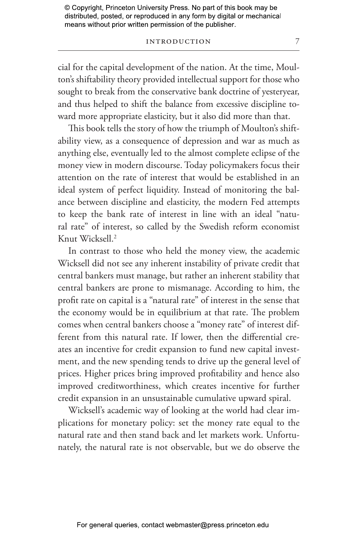### introduction 7

cial for the capital development of the nation. At the time, Moulton's shiftability theory provided intellectual support for those who sought to break from the conservative bank doctrine of yesteryear, and thus helped to shift the balance from excessive discipline toward more appropriate elasticity, but it also did more than that.

This book tells the story of how the triumph of Moulton's shiftability view, as a consequence of depression and war as much as anything else, eventually led to the almost complete eclipse of the money view in modern discourse. Today policymakers focus their attention on the rate of interest that would be established in an ideal system of perfect liquidity. Instead of monitoring the balance between discipline and elasticity, the modern Fed attempts to keep the bank rate of interest in line with an ideal "natural rate" of interest, so called by the Swedish reform economist Knut Wicksell.2

In contrast to those who held the money view, the academic Wicksell did not see any inherent instability of private credit that central bankers must manage, but rather an inherent stability that central bankers are prone to mismanage. According to him, the profit rate on capital is a "natural rate" of interest in the sense that the economy would be in equilibrium at that rate. The problem comes when central bankers choose a "money rate" of interest different from this natural rate. If lower, then the differential creates an incentive for credit expansion to fund new capital investment, and the new spending tends to drive up the general level of prices. Higher prices bring improved profitability and hence also improved creditworthiness, which creates incentive for further credit expansion in an unsustainable cumulative upward spiral.

Wicksell's academic way of looking at the world had clear implications for monetary policy: set the money rate equal to the natural rate and then stand back and let markets work. Unfortunately, the natural rate is not observable, but we do observe the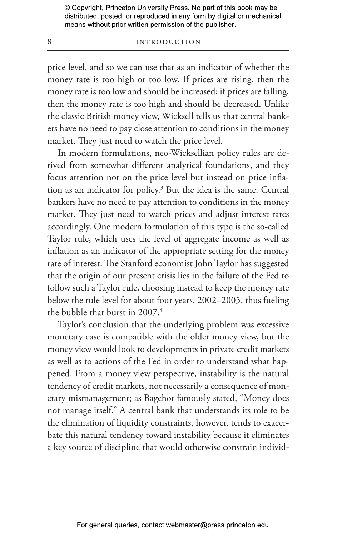### 8 **introduction**

price level, and so we can use that as an indicator of whether the money rate is too high or too low. If prices are rising, then the money rate is too low and should be increased; if prices are falling, then the money rate is too high and should be decreased. Unlike the classic British money view, Wicksell tells us that central bankers have no need to pay close attention to conditions in the money market. They just need to watch the price level.

In modern formulations, neo-Wicksellian policy rules are derived from somewhat different analytical foundations, and they focus attention not on the price level but instead on price inflation as an indicator for policy.3 But the idea is the same. Central bankers have no need to pay attention to conditions in the money market. They just need to watch prices and adjust interest rates accordingly. One modern formulation of this type is the so-called Taylor rule, which uses the level of aggregate income as well as inflation as an indicator of the appropriate setting for the money rate of interest. The Stanford economist John Taylor has suggested that the origin of our present crisis lies in the failure of the Fed to follow such a Taylor rule, choosing instead to keep the money rate below the rule level for about four years, 2002–2005, thus fueling the bubble that burst in 2007.<sup>4</sup>

Taylor's conclusion that the underlying problem was excessive monetary ease is compatible with the older money view, but the money view would look to developments in private credit markets as well as to actions of the Fed in order to understand what happened. From a money view perspective, instability is the natural tendency of credit markets, not necessarily a consequence of monetary mismanagement; as Bagehot famously stated, "Money does not manage itself." A central bank that understands its role to be the elimination of liquidity constraints, however, tends to exacerbate this natural tendency toward instability because it eliminates a key source of discipline that would otherwise constrain individ-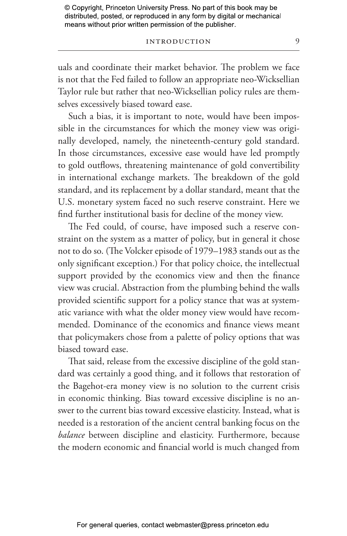### introduction 9

uals and coordinate their market behavior. The problem we face is not that the Fed failed to follow an appropriate neo-Wicksellian Taylor rule but rather that neo-Wicksellian policy rules are themselves excessively biased toward ease.

Such a bias, it is important to note, would have been impossible in the circumstances for which the money view was originally developed, namely, the nineteenth-century gold standard. In those circumstances, excessive ease would have led promptly to gold outflows, threatening maintenance of gold convertibility in international exchange markets. The breakdown of the gold standard, and its replacement by a dollar standard, meant that the U.S. monetary system faced no such reserve constraint. Here we find further institutional basis for decline of the money view.

The Fed could, of course, have imposed such a reserve constraint on the system as a matter of policy, but in general it chose not to do so. (The Volcker episode of 1979–1983 stands out as the only significant exception.) For that policy choice, the intellectual support provided by the economics view and then the finance view was crucial. Abstraction from the plumbing behind the walls provided scientific support for a policy stance that was at systematic variance with what the older money view would have recommended. Dominance of the economics and finance views meant that policymakers chose from a palette of policy options that was biased toward ease.

That said, release from the excessive discipline of the gold standard was certainly a good thing, and it follows that restoration of the Bagehot-era money view is no solution to the current crisis in economic thinking. Bias toward excessive discipline is no answer to the current bias toward excessive elasticity. Instead, what is needed is a restoration of the ancient central banking focus on the *balance* between discipline and elasticity. Furthermore, because the modern economic and financial world is much changed from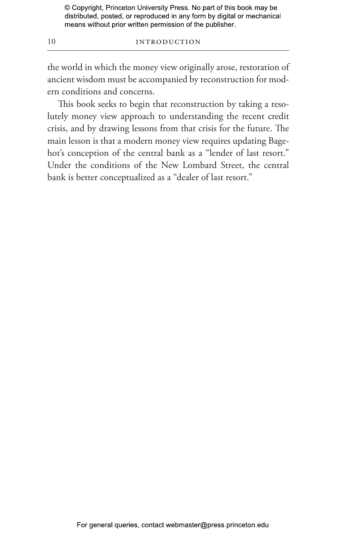### 10 **introduction**

the world in which the money view originally arose, restoration of ancient wisdom must be accompanied by reconstruction for modern conditions and concerns.

This book seeks to begin that reconstruction by taking a resolutely money view approach to understanding the recent credit crisis, and by drawing lessons from that crisis for the future. The main lesson is that a modern money view requires updating Bagehot's conception of the central bank as a "lender of last resort." Under the conditions of the New Lombard Street, the central bank is better conceptualized as a "dealer of last resort."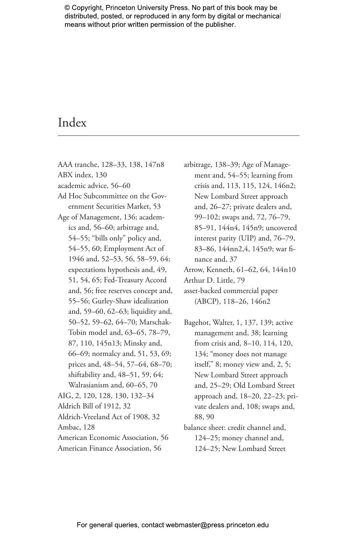# Index

AAA tranche, 128–33, 138, 147n8 ABX index, 130 academic advice, 56–60 Ad Hoc Subcommittee on the Government Securities Market, 53 Age of Management, 136; academics and, 56–60; arbitrage and, 54–55; "bills only" policy and, 54–55, 60; Employment Act of 1946 and, 52–53, 56, 58–59, 64; expectations hypothesis and, 49, 51, 54, 65; Fed-Treasury Accord and, 56; free reserves concept and, 55–56; Gurley-Shaw idealization and, 59–60, 62–63; liquidity and, 50–52, 59–62, 64–70; Marschak-Tobin model and, 63–65, 78–79, 87, 110, 145n13; Minsky and, 66–69; normalcy and, 51, 53, 69; prices and, 48–54, 57–64, 68–70; shiftability and, 48–51, 59, 64; Walrasianism and, 60–65, 70 AIG, 2, 120, 128, 130, 132–34 Aldrich Bill of 1912, 32 Aldrich-Vreeland Act of 1908, 32 Ambac, 128 American Economic Association, 56 American Finance Association, 56

arbitrage, 138–39; Age of Management and, 54–55; learning from crisis and, 113, 115, 124, 146n2; New Lombard Street approach and, 26–27; private dealers and, 99–102; swaps and, 72, 76–79, 85–91, 144n4, 145n9; uncovered interest parity (UIP) and, 76–79, 83–86, 144nn2,4, 145n9; war finance and, 37 Arrow, Kenneth, 61–62, 64, 144n10 Arthur D. Little, 79 asset-backed commercial paper (ABCP), 118–26, 146n2

- Bagehot, Walter, 1, 137, 139; active management and, 38; learning from crisis and, 8–10, 114, 120, 134; "money does not manage itself," 8; money view and, 2, 5; New Lombard Street approach and, 25–29; Old Lombard Street approach and, 18–20, 22–23; private dealers and, 108; swaps and, 88, 90
- balance sheet: credit channel and, 124–25; money channel and, 124–25; New Lombard Street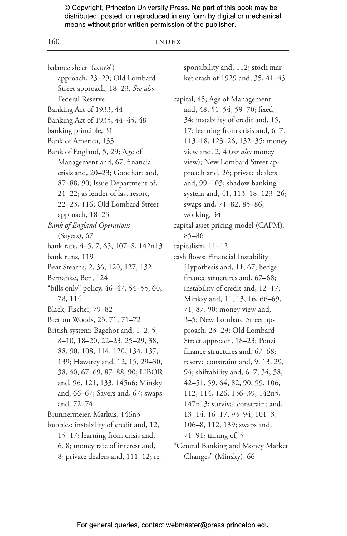### 160 **index**

| balance sheet (cont'd)                  | sponsibility and, 112; stock mar-   |
|-----------------------------------------|-------------------------------------|
| approach, 23-29; Old Lombard            | ket crash of 1929 and, 35, 41–43    |
| Street approach, 18-23. See also        |                                     |
| Federal Reserve                         | capital, 45; Age of Management      |
| Banking Act of 1933, 44                 | and, 48, 51-54, 59-70; fixed,       |
| Banking Act of 1935, 44-45, 48          | 34; instability of credit and, 15,  |
| banking principle, 31                   | 17; learning from crisis and, 6-7,  |
| Bank of America, 133                    | 113-18, 123-26, 132-35; money       |
| Bank of England, 5, 29; Age of          | view and, 2, 4 (see also money      |
| Management and, 67; financial           | view); New Lombard Street ap-       |
| crisis and, 20-23; Goodhart and,        | proach and, 26; private dealers     |
| 87–88, 90; Issue Department of,         | and, 99-103; shadow banking         |
| 21-22; as lender of last resort,        | system and, 41, 113-18, 123-26;     |
| 22-23, 116; Old Lombard Street          | swaps and, 71-82, 85-86;            |
| approach, 18-23                         | working, 34                         |
| <b>Bank of England Operations</b>       | capital asset pricing model (CAPM), |
| (Sayers), 67                            | 85-86                               |
| bank rate, 4-5, 7, 65, 107-8, 142n13    | capitalism, 11-12                   |
| bank runs, 119                          | cash flows: Financial Instability   |
| Bear Stearns, 2, 36, 120, 127, 132      | Hypothesis and, 11, 67; hedge       |
| Bernanke, Ben, 124                      | finance structures and, 67–68;      |
| "bills only" policy, 46-47, 54-55, 60,  | instability of credit and, 12-17;   |
| 78, 114                                 | Minksy and, 11, 13, 16, 66-69,      |
| Black, Fischer, 79-82                   | 71, 87, 90; money view and,         |
| Bretton Woods, 23, 71, 71-72            | 3-5; New Lombard Street ap-         |
| British system: Bagehot and, 1-2, 5,    | proach, 23-29; Old Lombard          |
| 8-10, 18-20, 22-23, 25-29, 38,          | Street approach, 18-23; Ponzi       |
| 88, 90, 108, 114, 120, 134, 137,        | finance structures and, 67–68;      |
| 139; Hawtrey and, 12, 15, 29-30,        | reserve constraint and, 9, 13, 29,  |
| 38, 40, 67-69, 87-88, 90; LIBOR         | 94; shiftability and, 6-7, 34, 38,  |
| and, 96, 121, 133, 145n6; Minsky        | 42-51, 59, 64, 82, 90, 99, 106,     |
| and, 66-67; Sayers and, 67; swaps       | 112, 114, 126, 136-39, 142n5,       |
| and, 72-74                              | 147n13; survival constraint and,    |
| Brunnermeier, Markus, 146n3             | 13-14, 16-17, 93-94, 101-3,         |
| bubbles: instability of credit and, 12, | 106-8, 112, 139; swaps and,         |
| 15-17; learning from crisis and,        | 71-91; timing of, 5                 |
| 6, 8; money rate of interest and,       | "Central Banking and Money Market   |
| 8; private dealers and, 111-12; re-     | Changes" (Minsky), 66               |
|                                         |                                     |

For general queries, contact webmaster@press.princeton.edu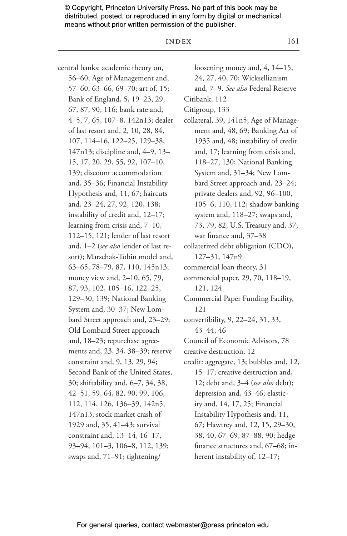### index 161

central banks: academic theory on, 56–60; Age of Management and, 57–60, 63–66, 69–70; art of, 15; Bank of England, 5, 19–23, 29, 67, 87, 90, 116; bank rate and, 4–5, 7, 65, 107–8, 142n13; dealer of last resort and, 2, 10, 28, 84, 107, 114–16, 122–25, 129–38, 147n13; discipline and, 4–9, 13– 15, 17, 20, 29, 55, 92, 107–10, 139; discount accommodation and, 35–36; Financial Instability Hypothesis and, 11, 67; haircuts and, 23–24, 27, 92, 120, 138; instability of credit and, 12–17; learning from crisis and, 7–10, 112–15, 121; lender of last resort and, 1–2 (*see also* lender of last resort); Marschak-Tobin model and, 63–65, 78–79, 87, 110, 145n13; money view and, 2–10, 65, 79, 87, 93, 102, 105–16, 122–25, 129–30, 139; National Banking System and, 30–37; New Lombard Street approach and, 23–29; Old Lombard Street approach and, 18–23; repurchase agreements and, 23, 34, 38–39; reserve constraint and, 9, 13, 29, 94; Second Bank of the United States, 30; shiftability and, 6–7, 34, 38, 42–51, 59, 64, 82, 90, 99, 106, 112, 114, 126, 136–39, 142n5, 147n13; stock market crash of 1929 and, 35, 41–43; survival constraint and, 13–14, 16–17, 93–94, 101–3, 106–8, 112, 139; swaps and, 71–91; tightening/

loosening money and, 4, 14–15, 24, 27, 40, 70; Wicksellianism and, 7–9. *See also* Federal Reserve Citibank, 112 Citigroup, 133 collateral, 39, 141n5; Age of Management and, 48, 69; Banking Act of 1935 and, 48; instability of credit and, 17; learning from crisis and, 118–27, 130; National Banking System and, 31–34; New Lombard Street approach and, 23–24; private dealers and, 92, 96–100, 105–6, 110, 112; shadow banking system and, 118–27; swaps and, 73, 79, 82; U.S. Treasury and, 37; war finance and, 37–38 collaterized debt obligation (CDO), 127–31, 147n9 commercial loan theory, 31 commercial paper, 29, 70, 118–19, 121, 124 Commercial Paper Funding Facility, 121 convertibility, 9, 22–24, 31, 33, 43–44, 46 Council of Economic Advisors, 78 creative destruction, 12 credit: aggregate, 13; bubbles and, 12, 15–17; creative destruction and, 12; debt and, 3–4 (*see also* debt); depression and, 43–46; elasticity and, 14, 17, 25; Financial Instability Hypothesis and, 11, 67; Hawtrey and, 12, 15, 29–30, 38, 40, 67–69, 87–88, 90; hedge finance structures and, 67–68; inherent instability of, 12-17;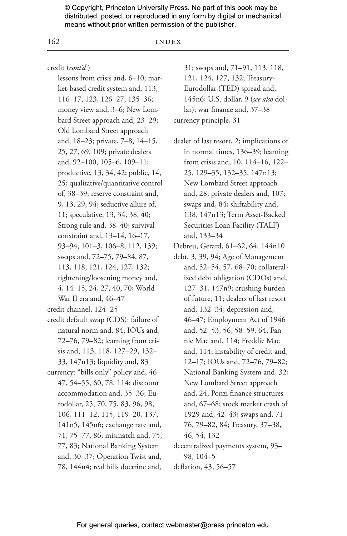|  | credit (cont'd) |  |
|--|-----------------|--|
|--|-----------------|--|

lessons from crisis and, 6–10; market-based credit system and, 113, 116–17, 123, 126–27, 135–36; money view and, 3–6; New Lombard Street approach and, 23–29; Old Lombard Street approach and, 18–23; private, 7–8, 14–15, 25, 27, 69, 109; private dealers and, 92–100, 105–6, 109–11; productive, 13, 34, 42; public, 14, 25; qualitative/quantitative control of, 38–39; reserve constraint and, 9, 13, 29, 94; seductive allure of, 11; speculative, 13, 34, 38, 40; Strong rule and, 38–40; survival constraint and, 13–14, 16–17, 93–94, 101–3, 106–8, 112, 139; swaps and, 72–75, 79–84, 87, 113, 118, 121, 124, 127, 132; tightening/loosening money and, 4, 14–15, 24, 27, 40, 70; World War II era and, 46–47 credit channel, 124–25

- credit default swap (CDS): failure of natural norm and, 84; IOUs and, 72–76, 79–82; learning from crisis and, 113, 118, 127–29, 132– 33, 147n13; liquidity and, 83
- currency: "bills only" policy and, 46– 47, 54–55, 60, 78, 114; discount accommodation and, 35–36; Eurodollar, 25, 70, 75, 83, 96, 98, 106, 111–12, 115, 119–20, 137, 141n5, 145n6; exchange rate and, 71, 75–77, 86; mismatch and, 75, 77, 83; National Banking System and, 30–37; Operation Twist and, 78, 144n4; real bills doctrine and,

31; swaps and, 71–91, 113, 118, 121, 124, 127, 132; Treasury-Eurodollar (TED) spread and, 145n6; U.S. dollar, 9 (*see also* dollar); war finance and, 37–38 currency principle, 31

- dealer of last resort, 2; implications of in normal times, 136–39; learning from crisis and, 10, 114–16, 122– 25, 129–35, 132–35, 147n13; New Lombard Street approach and, 28; private dealers and, 107; swaps and, 84; shiftability and, 138, 147n13; Term Asset-Backed Securities Loan Facility (TALF) and, 133–34
- Debreu, Gerard, 61–62, 64, 144n10
- debt, 3, 39, 94; Age of Management and, 52–54, 57, 68–70; collateralized debt obligation (CDOs) and, 127–31, 147n9; crushing burden of future, 11; dealers of last resort and, 132–34; depression and, 46–47; Employment Act of 1946 and, 52–53, 56, 58–59, 64; Fannie Mae and, 114; Freddie Mac and, 114; instability of credit and, 12–17; IOUs and, 72–76, 79–82; National Banking System and, 32; New Lombard Street approach and, 24; Ponzi finance structures and, 67–68; stock market crash of 1929 and, 42–43; swaps and, 71– 76, 79–82, 84; Treasury, 37–38, 46, 54, 132 decentralized payments system, 93–

98, 104–5

deflation, 43, 56–57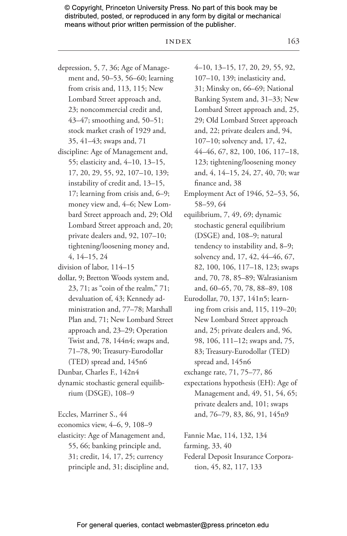### index 163

depression, 5, 7, 36; Age of Management and, 50–53, 56–60; learning from crisis and, 113, 115; New Lombard Street approach and, 23; noncommercial credit and, 43–47; smoothing and, 50–51; stock market crash of 1929 and, 35, 41–43; swaps and, 71 discipline: Age of Management and, 55; elasticity and, 4–10, 13–15, 17, 20, 29, 55, 92, 107–10, 139; instability of credit and, 13–15, 17; learning from crisis and, 6–9; money view and, 4–6; New Lombard Street approach and, 29; Old Lombard Street approach and, 20; private dealers and, 92, 107–10; tightening/loosening money and, 4, 14–15, 24 division of labor, 114–15 dollar, 9; Bretton Woods system and, 23, 71; as "coin of the realm," 71; devaluation of, 43; Kennedy administration and, 77–78; Marshall Plan and, 71; New Lombard Street approach and, 23–29; Operation Twist and, 78, 144n4; swaps and, 71–78, 90; Treasury-Eurodollar (TED) spread and, 145n6 Dunbar, Charles F., 142n4 dynamic stochastic general equilibrium (DSGE), 108–9 Eccles, Marriner S., 44 economics view, 4–6, 9, 108–9 elasticity: Age of Management and, 55, 66; banking principle and, 31; credit, 14, 17, 25; currency principle and, 31; discipline and, 4–10, 13–15, 17, 20, 29, 55, 92, 107–10, 139; inelasticity and, 31; Minsky on, 66–69; National Banking System and, 31–33; New Lombard Street approach and, 25, 29; Old Lombard Street approach and, 22; private dealers and, 94, 107–10; solvency and, 17, 42, 44–46, 67, 82, 100, 106, 117–18, 123; tightening/loosening money and, 4, 14–15, 24, 27, 40, 70; war finance and, 38 Employment Act of 1946, 52–53, 56, 58–59, 64 equilibrium, 7, 49, 69; dynamic stochastic general equilibrium (DSGE) and, 108–9; natural tendency to instability and, 8–9; solvency and, 17, 42, 44–46, 67, 82, 100, 106, 117–18, 123; swaps and, 70, 78, 85–89; Walrasianism and, 60–65, 70, 78, 88–89, 108 Eurodollar, 70, 137, 141n5; learning from crisis and, 115, 119–20; New Lombard Street approach and, 25; private dealers and, 96, 98, 106, 111–12; swaps and, 75, 83; Treasury-Eurodollar (TED) spread and, 145n6 exchange rate, 71, 75–77, 86 expectations hypothesis (EH): Age of Management and, 49, 51, 54, 65; private dealers and, 101; swaps and, 76–79, 83, 86, 91, 145n9 Fannie Mae, 114, 132, 134 farming, 33, 40 Federal Deposit Insurance Corporation, 45, 82, 117, 133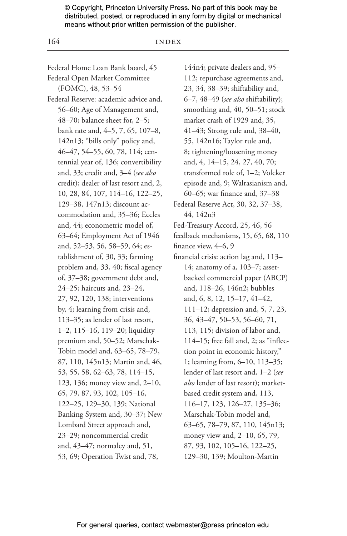### 164 **index**

Federal Home Loan Bank board, 45 Federal Open Market Committee (FOMC), 48, 53–54 Federal Reserve: academic advice and, 56–60; Age of Management and, 48–70; balance sheet for, 2–5; bank rate and, 4–5, 7, 65, 107–8, 142n13; "bills only" policy and, 46–47, 54–55, 60, 78, 114; centennial year of, 136; convertibility and, 33; credit and, 3–4 (*see also* credit); dealer of last resort and, 2, 10, 28, 84, 107, 114–16, 122–25, 129–38, 147n13; discount accommodation and, 35–36; Eccles and, 44; econometric model of, 63–64; Employment Act of 1946 and, 52–53, 56, 58–59, 64; establishment of, 30, 33; farming problem and, 33, 40; fiscal agency of, 37–38; government debt and, 24–25; haircuts and, 23–24, 27, 92, 120, 138; interventions by, 4; learning from crisis and, 113–35; as lender of last resort, 1–2, 115–16, 119–20; liquidity premium and, 50–52; Marschak-Tobin model and, 63–65, 78–79, 87, 110, 145n13; Martin and, 46, 53, 55, 58, 62–63, 78, 114–15, 123, 136; money view and, 2–10, 65, 79, 87, 93, 102, 105–16, 122–25, 129–30, 139; National Banking System and, 30–37; New Lombard Street approach and, 23–29; noncommercial credit and, 43–47; normalcy and, 51, 53, 69; Operation Twist and, 78,

144n4; private dealers and, 95– 112; repurchase agreements and, 23, 34, 38–39; shiftability and, 6–7, 48–49 (*see also* shiftability); smoothing and, 40, 50–51; stock market crash of 1929 and, 35, 41–43; Strong rule and, 38–40, 55, 142n16; Taylor rule and, 8; tightening/loosening money and, 4, 14–15, 24, 27, 40, 70; transformed role of, 1–2; Volcker episode and, 9; Walrasianism and, 60–65; war finance and, 37–38 Federal Reserve Act, 30, 32, 37–38, 44, 142n3 Fed-Treasury Accord, 25, 46, 56 feedback mechanisms, 15, 65, 68, 110 finance view, 4–6, 9 financial crisis: action lag and, 113– 14; anatomy of a, 103–7; assetbacked commercial paper (ABCP) and, 118–26, 146n2; bubbles and, 6, 8, 12, 15–17, 41–42, 111–12; depression and, 5, 7, 23, 36, 43–47, 50–53, 56–60, 71, 113, 115; division of labor and, 114–15; free fall and, 2; as "inflection point in economic history," 1; learning from, 6–10, 113–35; lender of last resort and, 1–2 (*see also* lender of last resort); marketbased credit system and, 113, 116–17, 123, 126–27, 135–36; Marschak-Tobin model and, 63–65, 78–79, 87, 110, 145n13; money view and, 2–10, 65, 79, 87, 93, 102, 105–16, 122–25, 129–30, 139; Moulton-Martin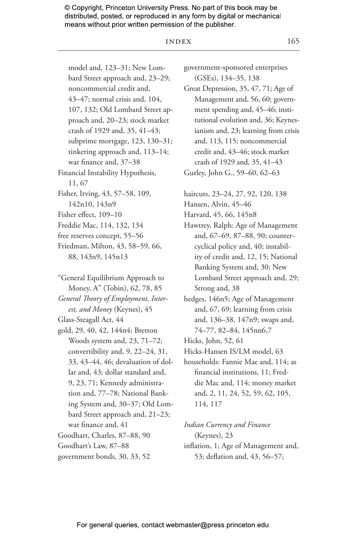### index 165

model and, 123–31; New Lombard Street approach and, 23–29; noncommercial credit and, 43–47; normal crisis and, 104, 107, 132; Old Lombard Street approach and, 20–23; stock market crash of 1929 and, 35, 41–43; subprime mortgage, 123, 130–31; tinkering approach and, 113–14; war finance and, 37–38 Financial Instability Hypothesis, 11, 67 Fisher, Irving, 43, 57–58, 109, 142n10, 143n9 Fisher effect, 109–10 Freddie Mac, 114, 132, 134

- free reserves concept, 55–56
- Friedman, Milton, 43, 58–59, 66, 88, 143n9, 145n13
- "General Equilibrium Approach to Money, A" (Tobin), 62, 78, 85
- *General Theory of Employment, Interest, and Money* (Keynes), 45
- Glass-Steagall Act, 44
- gold, 29, 40, 42, 144n4; Bretton Woods system and, 23, 71–72; convertibility and, 9, 22–24, 31, 33, 43–44, 46; devaluation of dollar and, 43; dollar standard and, 9, 23, 71; Kennedy administration and, 77–78; National Banking System and, 30–37; Old Lombard Street approach and, 21–23; war finance and, 41 Goodhart, Charles, 87–88, 90 Goodhart's Law, 87–88 government bonds, 30, 33, 52
- government-sponsored enterprises (GSEs), 134–35, 138
- Great Depression, 35, 47, 71; Age of Management and, 56, 60; government spending and, 45–46; institutional evolution and, 36; Keynesianism and, 23; learning from crisis and, 113, 115; noncommercial credit and, 43–46; stock market crash of 1929 and, 35, 41–43 Gurley, John G., 59–60, 62–63
- haircuts, 23–24, 27, 92, 120, 138
- Hansen, Alvin, 45–46
- Harvard, 45, 66, 145n8
- Hawtrey, Ralph: Age of Management and, 67–69, 87–88, 90; countercyclical policy and, 40; instability of credit and, 12, 15; National Banking System and, 30; New Lombard Street approach and, 29; Strong and, 38
- hedges, 146n5; Age of Management and, 67, 69; learning from crisis and, 136–38, 147n9; swaps and, 74–77, 82–84, 145nn6,7
- Hicks, John, 52, 61
- Hicks-Hansen IS/LM model, 63
- households: Fannie Mae and, 114; as financial institutions, 11; Freddie Mac and, 114; money market and, 2, 11, 24, 52, 59, 62, 105, 114, 117
- *Indian Currency and Finance* (Keynes), 23 inflation, 1; Age of Management and, 53; deflation and, 43, 56–57;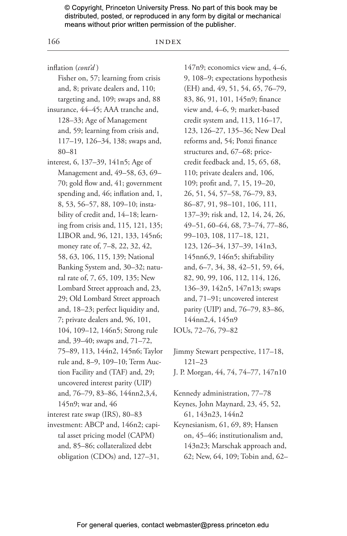### 166 index

80–81

Fisher on, 57; learning from crisis and, 8; private dealers and, 110; targeting and, 109; swaps and, 88

- insurance, 44–45; AAA tranche and, 128–33; Age of Management and, 59; learning from crisis and, 117–19, 126–34, 138; swaps and,
- interest, 6, 137–39, 141n5; Age of Management and, 49–58, 63, 69– 70; gold flow and, 41; government spending and, 46; inflation and, 1, 8, 53, 56–57, 88, 109–10; instability of credit and, 14–18; learning from crisis and, 115, 121, 135; LIBOR and, 96, 121, 133, 145n6; money rate of, 7–8, 22, 32, 42, 58, 63, 106, 115, 139; National Banking System and, 30–32; natural rate of, 7, 65, 109, 135; New Lombard Street approach and, 23, 29; Old Lombard Street approach and, 18–23; perfect liquidity and, 7; private dealers and, 96, 101, 104, 109–12, 146n5; Strong rule and, 39–40; swaps and, 71–72, 75–89, 113, 144n2, 145n6; Taylor rule and, 8–9, 109–10; Term Auction Facility and (TAF) and, 29; uncovered interest parity (UIP) and, 76–79, 83–86, 144nn2,3,4, 145n9; war and, 46
- interest rate swap (IRS), 80–83
- investment: ABCP and, 146n2; capital asset pricing model (CAPM) and, 85–86; collateralized debt obligation (CDOs) and, 127–31,

147n9; economics view and, 4–6, 9, 108–9; expectations hypothesis (EH) and, 49, 51, 54, 65, 76–79, 83, 86, 91, 101, 145n9; finance view and, 4–6, 9; market-based credit system and, 113, 116–17, 123, 126–27, 135–36; New Deal reforms and, 54; Ponzi finance structures and, 67–68; pricecredit feedback and, 15, 65, 68, 110; private dealers and, 106, 109; profit and, 7, 15, 19–20, 26, 51, 54, 57–58, 76–79, 83, 86–87, 91, 98–101, 106, 111, 137–39; risk and, 12, 14, 24, 26, 49–51, 60–64, 68, 73–74, 77–86, 99–103, 108, 117–18, 121, 123, 126–34, 137–39, 141n3, 145nn6,9, 146n5; shiftability and, 6–7, 34, 38, 42–51, 59, 64, 82, 90, 99, 106, 112, 114, 126, 136–39, 142n5, 147n13; swaps and, 71–91; uncovered interest parity (UIP) and, 76–79, 83–86, 144nn2,4, 145n9 IOUs, 72–76, 79–82

Jimmy Stewart perspective, 117–18, 121–23 J. P. Morgan, 44, 74, 74–77, 147n10

Kennedy administration, 77–78 Keynes, John Maynard, 23, 45, 52, 61, 143n23, 144n2

Keynesianism, 61, 69, 89; Hansen on, 45–46; institutionalism and, 143n23; Marschak approach and, 62; New, 64, 109; Tobin and, 62–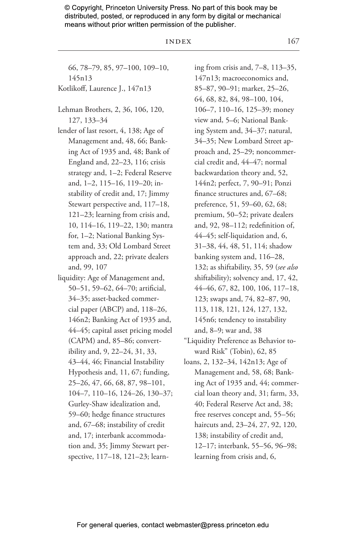### index 167

66, 78–79, 85, 97–100, 109–10, 145n13 Kotlikoff, Laurence J., 147n13

- Lehman Brothers, 2, 36, 106, 120, 127, 133–34
- lender of last resort, 4, 138; Age of Management and, 48, 66; Banking Act of 1935 and, 48; Bank of England and, 22–23, 116; crisis strategy and, 1–2; Federal Reserve and, 1–2, 115–16, 119–20; instability of credit and, 17; Jimmy Stewart perspective and, 117–18, 121–23; learning from crisis and, 10, 114–16, 119–22, 130; mantra for, 1–2; National Banking System and, 33; Old Lombard Street approach and, 22; private dealers and, 99, 107
- liquidity: Age of Management and, 50–51, 59–62, 64–70; artificial, 34–35; asset-backed commercial paper (ABCP) and, 118–26, 146n2; Banking Act of 1935 and, 44–45; capital asset pricing model (CAPM) and, 85–86; convertibility and, 9, 22–24, 31, 33, 43–44, 46; Financial Instability Hypothesis and, 11, 67; funding, 25–26, 47, 66, 68, 87, 98–101, 104–7, 110–16, 124–26, 130–37; Gurley-Shaw idealization and, 59–60; hedge finance structures and, 67–68; instability of credit and, 17; interbank accommodation and, 35; Jimmy Stewart perspective, 117–18, 121–23; learn-

ing from crisis and, 7–8, 113–35, 147n13; macroeconomics and, 85–87, 90–91; market, 25–26, 64, 68, 82, 84, 98–100, 104, 106–7, 110–16, 125–39; money view and, 5–6; National Banking System and, 34–37; natural, 34–35; New Lombard Street approach and, 25–29; noncommercial credit and, 44–47; normal backwardation theory and, 52, 144n2; perfect, 7, 90–91; Ponzi finance structures and, 67–68; preference, 51, 59–60, 62, 68; premium, 50–52; private dealers and, 92, 98–112; redefinition of, 44–45; self-liquidation and, 6, 31–38, 44, 48, 51, 114; shadow banking system and, 116–28, 132; as shiftability, 35, 59 (*see also* shiftability); solvency and, 17, 42, 44–46, 67, 82, 100, 106, 117–18, 123; swaps and, 74, 82–87, 90, 113, 118, 121, 124, 127, 132, 145n6; tendency to instability and, 8–9; war and, 38

- "Liquidity Preference as Behavior toward Risk" (Tobin), 62, 85
- loans, 2, 132–34, 142n13; Age of Management and, 58, 68; Banking Act of 1935 and, 44; commercial loan theory and, 31; farm, 33, 40; Federal Reserve Act and, 38; free reserves concept and, 55–56; haircuts and, 23–24, 27, 92, 120, 138; instability of credit and, 12–17; interbank, 55–56, 96–98; learning from crisis and, 6,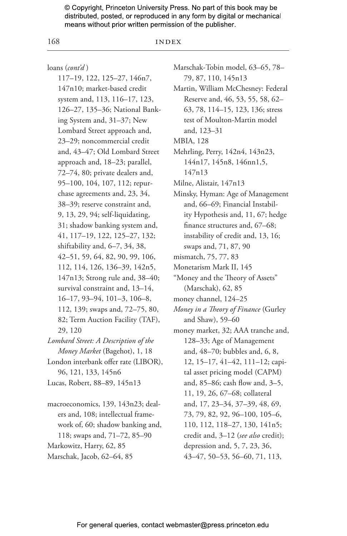### 168 **index**

loans (*cont'd* ) 117–19, 122, 125–27, 146n7, 147n10; market-based credit system and, 113, 116–17, 123, 126–27, 135–36; National Banking System and, 31–37; New Lombard Street approach and, 23–29; noncommercial credit and, 43–47; Old Lombard Street approach and, 18–23; parallel, 72–74, 80; private dealers and, 95–100, 104, 107, 112; repurchase agreements and, 23, 34, 38–39; reserve constraint and, 9, 13, 29, 94; self-liquidating, 31; shadow banking system and, 41, 117–19, 122, 125–27, 132; shiftability and, 6–7, 34, 38, 42–51, 59, 64, 82, 90, 99, 106, 112, 114, 126, 136–39, 142n5, 147n13; Strong rule and, 38–40; survival constraint and, 13–14, 16–17, 93–94, 101–3, 106–8, 112, 139; swaps and, 72–75, 80, 82; Term Auction Facility (TAF), 29, 120 *Lombard Street: A Description of the Money Market* (Bagehot), 1, 18 London interbank offer rate (LIBOR), 96, 121, 133, 145n6 Lucas, Robert, 88–89, 145n13 macroeconomics, 139, 143n23; dealers and, 108; intellectual framework of, 60; shadow banking and, 118; swaps and, 71–72, 85–90

- Markowitz, Harry, 62, 85
- Marschak, Jacob, 62–64, 85

Marschak-Tobin model, 63–65, 78– 79, 87, 110, 145n13 Martin, William McChesney: Federal Reserve and, 46, 53, 55, 58, 62– 63, 78, 114–15, 123, 136; stress test of Moulton-Martin model and, 123–31

MBIA, 128

- Mehrling, Perry, 142n4, 143n23, 144n17, 145n8, 146nn1,5, 147n13
- Milne, Alistair, 147n13
- Minsky, Hyman: Age of Management and, 66–69; Financial Instability Hypothesis and, 11, 67; hedge finance structures and, 67–68; instability of credit and, 13, 16; swaps and, 71, 87, 90
- mismatch, 75, 77, 83
- Monetarism Mark II, 145
- "Money and the Theory of Assets" (Marschak), 62, 85
- money channel, 124–25
- *Money in a Theory of Finance* (Gurley and Shaw), 59–60
- money market, 32; AAA tranche and, 128–33; Age of Management and, 48–70; bubbles and, 6, 8, 12, 15–17, 41–42, 111–12; capital asset pricing model (CAPM) and, 85–86; cash flow and, 3–5, 11, 19, 26, 67–68; collateral and, 17, 23–34, 37–39, 48, 69, 73, 79, 82, 92, 96–100, 105–6, 110, 112, 118–27, 130, 141n5; credit and, 3–12 (*see also* credit); depression and, 5, 7, 23, 36, 43–47, 50–53, 56–60, 71, 113,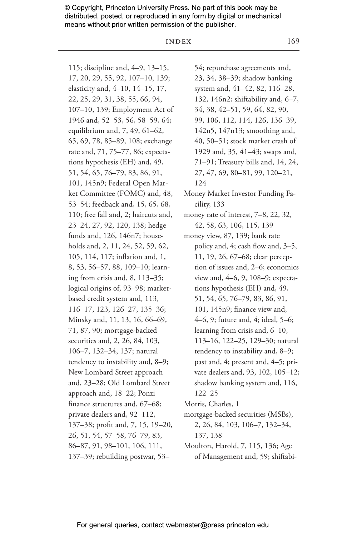### index 169

115; discipline and, 4–9, 13–15, 17, 20, 29, 55, 92, 107–10, 139; elasticity and, 4–10, 14–15, 17, 22, 25, 29, 31, 38, 55, 66, 94, 107–10, 139; Employment Act of 1946 and, 52–53, 56, 58–59, 64; equilibrium and, 7, 49, 61–62, 65, 69, 78, 85–89, 108; exchange rate and, 71, 75–77, 86; expectations hypothesis (EH) and, 49, 51, 54, 65, 76–79, 83, 86, 91, 101, 145n9; Federal Open Market Committee (FOMC) and, 48, 53–54; feedback and, 15, 65, 68, 110; free fall and, 2; haircuts and, 23–24, 27, 92, 120, 138; hedge funds and, 126, 146n7; households and, 2, 11, 24, 52, 59, 62, 105, 114, 117; inflation and, 1, 8, 53, 56–57, 88, 109–10; learning from crisis and, 8, 113–35; logical origins of, 93–98; marketbased credit system and, 113, 116–17, 123, 126–27, 135–36; Minsky and, 11, 13, 16, 66–69, 71, 87, 90; mortgage-backed securities and, 2, 26, 84, 103, 106–7, 132–34, 137; natural tendency to instability and, 8–9; New Lombard Street approach and, 23–28; Old Lombard Street approach and, 18–22; Ponzi finance structures and, 67–68; private dealers and, 92–112, 137–38; profit and, 7, 15, 19–20, 26, 51, 54, 57–58, 76–79, 83, 86–87, 91, 98–101, 106, 111, 137–39; rebuilding postwar, 53–

54; repurchase agreements and, 23, 34, 38–39; shadow banking system and, 41–42, 82, 116–28, 132, 146n2; shiftability and, 6–7, 34, 38, 42–51, 59, 64, 82, 90, 99, 106, 112, 114, 126, 136–39, 142n5, 147n13; smoothing and, 40, 50–51; stock market crash of 1929 and, 35, 41–43; swaps and, 71–91; Treasury bills and, 14, 24, 27, 47, 69, 80–81, 99, 120–21, 124

- Money Market Investor Funding Facility, 133
- money rate of interest, 7–8, 22, 32, 42, 58, 63, 106, 115, 139
- money view, 87, 139; bank rate policy and, 4; cash flow and, 3–5, 11, 19, 26, 67–68; clear perception of issues and, 2–6; economics view and, 4–6, 9, 108–9; expectations hypothesis (EH) and, 49, 51, 54, 65, 76–79, 83, 86, 91, 101, 145n9; finance view and, 4–6, 9; future and, 4; ideal, 5–6; learning from crisis and, 6–10, 113–16, 122–25, 129–30; natural tendency to instability and, 8–9; past and, 4; present and, 4–5; private dealers and, 93, 102, 105–12; shadow banking system and, 116, 122–25
- Morris, Charles, 1
- mortgage-backed securities (MSBs), 2, 26, 84, 103, 106–7, 132–34, 137, 138
- Moulton, Harold, 7, 115, 136; Age of Management and, 59; shiftabi-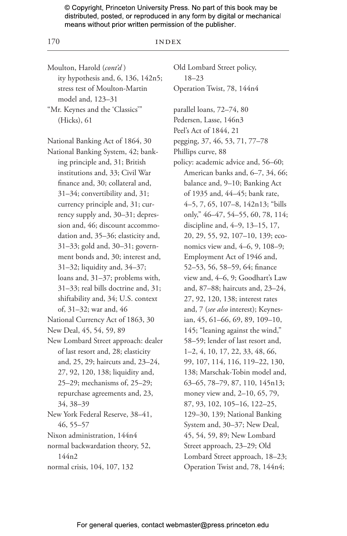### 170 **index**

| Moulton, Harold (cont'd)<br>ity hypothesis and, 6, 136, 142n5; | Old Lombard Street policy,<br>$18 - 23$ |
|----------------------------------------------------------------|-----------------------------------------|
| stress test of Moulton-Martin<br>model and, 123-31             | Operation Twist, 78, 144n4              |
| "Mr. Keynes and the 'Classics'"                                | parallel loans, 72-74, 80               |
| $(Hicks)$ , 61                                                 | Pedersen, Lasse, 146n3                  |
|                                                                | Peel's Act of 1844, 21                  |
| National Banking Act of 1864, 30                               | pegging, 37, 46, 53, 71, 77             |
| National Banking System, 42; bank-                             | Phillips curve, 88                      |
| ing principle and, 31; British                                 | policy: academic advice and             |
| institutions and, 33; Civil War                                | American banks and, 6-                  |
| finance and, 30; collateral and,                               | balance and, 9-10; Banl                 |
| 31-34; convertibility and, 31;                                 | of 1935 and, 44-45; ba                  |
| currency principle and, 31; cur-                               | $4-5, 7, 65, 107-8, 142$                |
| rency supply and, 30-31; depres-                               | only," 46-47, 54-55, 60                 |
| sion and, 46; discount accommo-                                | discipline and, 4-9, 13-                |
| dation and, 35-36; elasticity and,                             | 20, 29, 55, 92, 107-10,                 |
| 31-33; gold and, 30-31; govern-                                | nomics view and, 4-6, 9                 |
| ment bonds and, 30; interest and,                              | Employment Act of 194                   |
| 31-32; liquidity and, 34-37;                                   | 52-53, 56, 58-59, 64; f                 |
| loans and, 31-37; problems with,                               | view and, 4-6, 9; Good                  |
| 31-33; real bills doctrine and, 31;                            | and, 87-88; haircuts an                 |
| shiftability and, 34; U.S. context                             | 27, 92, 120, 138; intere                |
| of, 31-32; war and, 46                                         | and, 7 (see also interest);             |
| National Currency Act of 1863, 30                              | ian, 45, 61–66, 69, 89,                 |
| New Deal, 45, 54, 59, 89                                       | 145; "leaning against th                |
| New Lombard Street approach: dealer                            | 58-59; lender of last res               |
| of last resort and, 28; elasticity                             | 1-2, 4, 10, 17, 22, 33,                 |
| and, 25, 29; haircuts and, 23-24,                              | 99, 107, 114, 116, 119-                 |
| 27, 92, 120, 138; liquidity and,                               | 138; Marschak-Tobin m                   |
| 25-29; mechanisms of, 25-29;                                   | 63-65, 78-79, 87, 110,                  |
| repurchase agreements and, 23,                                 | money view and, 2-10,                   |
| 34, 38-39                                                      | 87, 93, 102, 105-16, 12                 |
| New York Federal Reserve, 38-41,                               | 129-30, 139; National                   |
| $46, 55 - 57$                                                  | System and, 30-37; Nev                  |
| Nixon administration, 144n4                                    | 45, 54, 59, 89; New Lor                 |
| normal backwardation theory, 52,                               | Street approach, 23-29;                 |
| 144n2                                                          | Lombard Street approac                  |
| normal crisis, 104, 107, 132                                   | Operation Twist and, 78                 |
|                                                                |                                         |

n Twist, 78, 144n4 ans, 72–74, 80 Lasse, 146n3 of 1844, 21 pegging, 37, 46, 53, 71, 77–78 urve, 88 ademic advice and, 56–60; can banks and, 6–7, 34, 66; e and, 9–10; Banking Act 5 and, 44–45; bank rate, 4–5, 7, 65, 107–8, 142n13; "bills only," 46–47, 54–55, 60, 78, 114; line and, 4–9, 13–15, 17, 20, 29, 55, 92, 107–10, 139; ecos view and, 4–6, 9, 108–9; yment Act of 1946 and, 52–53, 56, 58–59, 64; finance nd, 4–6, 9; Goodhart's Law and, 87–88; haircuts and, 23–24, !, 120, 138; interest rates (see also interest); Keynes-5, 61–66, 69, 89, 109–10, leaning against the wind," ); lender of last resort and, 1–2, 4, 10, 17, 22, 33, 48, 66, 99, 107, 114, 116, 119–22, 130, 138; Marschak-Tobin model and, 63–65, 78–79, 87, 110, 145n13; y view and, 2–10, 65, 79, 87, 93, 102, 105–16, 122–25, 0, 139; National Banking n and, 30–37; New Deal, 45, 54, 59, 89; New Lombard approach, 23-29; Old ard Street approach, 18–23; tion Twist and, 78, 144n4;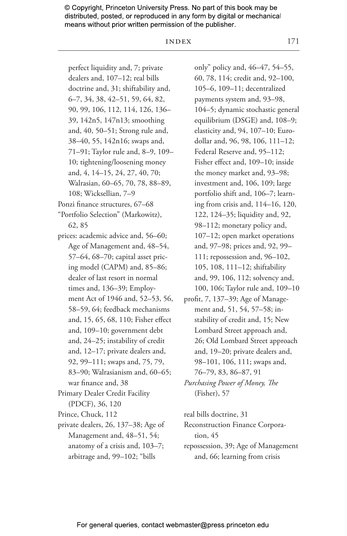### index 171

perfect liquidity and, 7; private dealers and, 107–12; real bills doctrine and, 31; shiftability and, 6–7, 34, 38, 42–51, 59, 64, 82, 90, 99, 106, 112, 114, 126, 136– 39, 142n5, 147n13; smoothing and, 40, 50–51; Strong rule and, 38–40, 55, 142n16; swaps and, 71–91; Taylor rule and, 8–9, 109– 10; tightening/loosening money and, 4, 14–15, 24, 27, 40, 70; Walrasian, 60–65, 70, 78, 88–89, 108; Wicksellian, 7–9 Ponzi finance structures, 67–68 "Portfolio Selection" (Markowitz), 62, 85 prices: academic advice and, 56–60; Age of Management and, 48–54, 57–64, 68–70; capital asset pricing model (CAPM) and, 85–86; dealer of last resort in normal times and, 136–39; Employment Act of 1946 and, 52–53, 56, 58–59, 64; feedback mechanisms and, 15, 65, 68, 110; Fisher effect and, 109–10; government debt and, 24–25; instability of credit and, 12–17; private dealers and, 92, 99–111; swaps and, 75, 79, 83–90; Walrasianism and, 60–65; war finance and, 38 Primary Dealer Credit Facility (PDCF), 36, 120 Prince, Chuck, 112 private dealers, 26, 137–38; Age of Management and, 48–51, 54; anatomy of a crisis and, 103–7;

arbitrage and, 99–102; "bills

only" policy and, 46–47, 54–55, 60, 78, 114; credit and, 92–100, 105–6, 109–11; decentralized payments system and, 93–98, 104–5; dynamic stochastic general equilibrium (DSGE) and, 108–9; elasticity and, 94, 107–10; Eurodollar and, 96, 98, 106, 111–12; Federal Reserve and, 95–112; Fisher effect and, 109–10; inside the money market and, 93–98; investment and, 106, 109; large portfolio shift and, 106–7; learning from crisis and, 114–16, 120, 122, 124–35; liquidity and, 92, 98–112; monetary policy and, 107–12; open market operations and, 97–98; prices and, 92, 99– 111; repossession and, 96–102, 105, 108, 111–12; shiftability and, 99, 106, 112; solvency and, 100, 106; Taylor rule and, 109–10

- profit, 7, 137–39; Age of Management and, 51, 54, 57–58; instability of credit and, 15; New Lombard Street approach and, 26; Old Lombard Street approach and, 19–20; private dealers and, 98–101, 106, 111; swaps and, 76–79, 83, 86–87, 91
- *Purchasing Power of Money, The* (Fisher), 57

real bills doctrine, 31

- Reconstruction Finance Corporation, 45
- repossession, 39; Age of Management and, 66; learning from crisis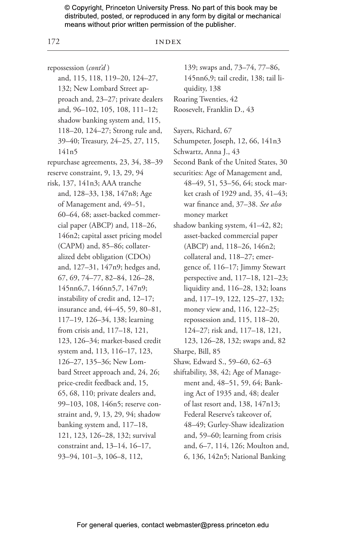### 172 **index**

repossession (*cont'd* ) and, 115, 118, 119–20, 124–27, 132; New Lombard Street approach and, 23–27; private dealers and, 96–102, 105, 108, 111–12; shadow banking system and, 115, 118–20, 124–27; Strong rule and, 39–40; Treasury, 24–25, 27, 115, 141n5 repurchase agreements, 23, 34, 38–39 reserve constraint, 9, 13, 29, 94 risk, 137, 141n3; AAA tranche and, 128–33, 138, 147n8; Age of Management and, 49–51, 60–64, 68; asset-backed commercial paper (ABCP) and, 118–26, 146n2; capital asset pricing model (CAPM) and, 85–86; collateralized debt obligation (CDOs) and, 127–31, 147n9; hedges and, 67, 69, 74–77, 82–84, 126–28, 145nn6,7, 146nn5,7, 147n9; instability of credit and, 12–17; insurance and, 44–45, 59, 80–81, 117–19, 126–34, 138; learning from crisis and, 117–18, 121, 123, 126–34; market-based credit system and, 113, 116–17, 123, 126–27, 135–36; New Lombard Street approach and, 24, 26; price-credit feedback and, 15, 65, 68, 110; private dealers and, 99–103, 108, 146n5; reserve constraint and, 9, 13, 29, 94; shadow banking system and, 117–18, 121, 123, 126–28, 132; survival constraint and, 13–14, 16–17, 93–94, 101–3, 106–8, 112,

139; swaps and, 73–74, 77–86, 145nn6,9; tail credit, 138; tail liquidity, 138 Roaring Twenties, 42 Roosevelt, Franklin D., 43 Sayers, Richard, 67 Schumpeter, Joseph, 12, 66, 141n3 Schwartz, Anna J., 43 Second Bank of the United States, 30 securities: Age of Management and, 48–49, 51, 53–56, 64; stock market crash of 1929 and, 35, 41–43; war finance and, 37–38. *See also* money market shadow banking system, 41–42, 82; asset-backed commercial paper (ABCP) and, 118–26, 146n2; collateral and, 118–27; emergence of, 116–17; Jimmy Stewart perspective and, 117–18, 121–23; liquidity and, 116–28, 132; loans and, 117–19, 122, 125–27, 132; money view and, 116, 122–25; repossession and, 115, 118–20, 124–27; risk and, 117–18, 121, 123, 126–28, 132; swaps and, 82 Sharpe, Bill, 85 Shaw, Edward S., 59–60, 62–63 shiftability, 38, 42; Age of Manage-

ment and, 48–51, 59, 64; Banking Act of 1935 and, 48; dealer of last resort and, 138, 147n13; Federal Reserve's takeover of, 48–49; Gurley-Shaw idealization and, 59–60; learning from crisis and, 6–7, 114, 126; Moulton and, 6, 136, 142n5; National Banking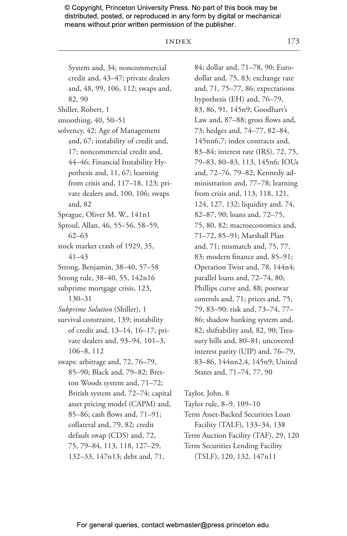### index 173

System and, 34; noncommercial credit and, 43–47; private dealers and, 48, 99, 106, 112; swaps and, 82, 90 Shiller, Robert, 1 smoothing, 40, 50–51 solvency, 42; Age of Management and, 67; instability of credit and, 17; noncommercial credit and, 44–46; Financial Instability Hypothesis and, 11, 67; learning from crisis and, 117–18, 123; private dealers and, 100, 106; swaps and, 82 Sprague, Oliver M. W., 141n1 Sproul, Allan, 46, 55–56, 58–59, 62–63 stock market crash of 1929, 35, 41–43 Strong, Benjamin, 38–40, 57–58 Strong rule, 38–40, 55, 142n16 subprime mortgage crisis, 123, 130–31 *Subprime Solution* (Shiller), 1 survival constraint, 139; instability of credit and, 13–14, 16–17; private dealers and, 93–94, 101–3, 106–8, 112 swaps: arbitrage and, 72, 76–79, 85–90; Black and, 79–82; Bretton Woods system and, 71–72; British system and, 72–74; capital asset pricing model (CAPM) and, 85–86; cash flows and, 71–91; collateral and, 79, 82; credit default swap (CDS) and, 72, 75, 79–84, 113, 118, 127–29, 132–33, 147n13; debt and, 71,

84; dollar and, 71–78, 90; Eurodollar and, 75, 83; exchange rate and, 71, 75–77, 86; expectations hypothesis (EH) and, 76–79, 83, 86, 91, 145n9; Goodhart's Law and, 87–88; gross flows and, 73; hedges and, 74–77, 82–84, 145nn6,7; index contracts and, 83–84; interest rate (IRS), 72, 75, 79–83, 80–83, 113, 145n6; IOUs and, 72–76, 79–82; Kennedy administration and, 77–78; learning from crisis and, 113, 118, 121, 124, 127, 132; liquidity and, 74, 82–87, 90; loans and, 72–75, 75, 80, 82; macroeconomics and, 71–72, 85–91; Marshall Plan and, 71; mismatch and, 75, 77, 83; modern finance and, 85–91; Operation Twist and, 78, 144n4; parallel loans and, 72–74, 80; Phillips curve and, 88; postwar controls and, 71; prices and, 75, 79, 83–90; risk and, 73–74, 77– 86; shadow banking system and, 82; shiftability and, 82, 90; Treasury bills and, 80–81; uncovered interest parity (UIP) and, 76–79, 83–86, 144nn2,4, 145n9; United States and, 71–74, 77, 90

Taylor, John, 8

Taylor rule, 8–9, 109–10

Term Asset-Backed Securities Loan Facility (TALF), 133–34, 138 Term Auction Facility (TAF), 29, 120 Term Securities Lending Facility

(TSLF), 120, 132, 147n11